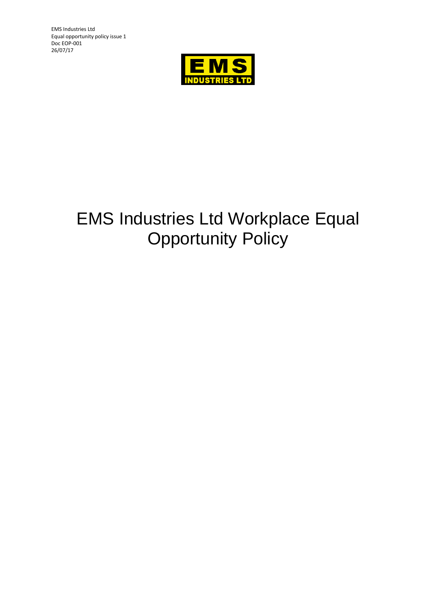EMS Industries Ltd Equal opportunity policy issue 1 Doc EOP-001 26/07/17



# EMS Industries Ltd Workplace Equal **Opportunity Policy**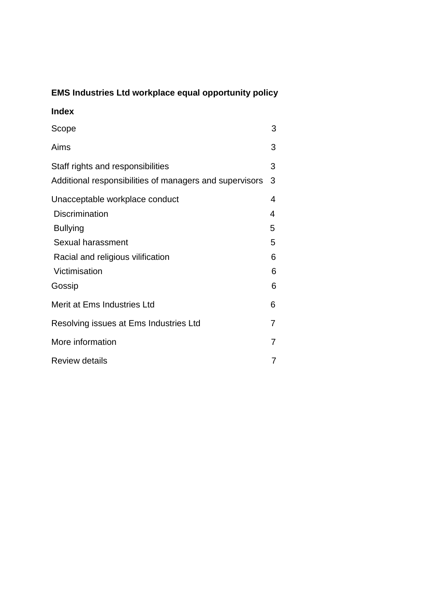# **EMS Industries Ltd workplace equal opportunity policy**

# **Index**

| Scope                                                                                        | 3      |
|----------------------------------------------------------------------------------------------|--------|
| Aims                                                                                         | 3      |
| Staff rights and responsibilities<br>Additional responsibilities of managers and supervisors | 3<br>3 |
| Unacceptable workplace conduct<br><b>Discrimination</b>                                      | 4<br>4 |
| <b>Bullying</b><br>Sexual harassment                                                         | 5<br>5 |
| Racial and religious vilification                                                            | 6      |
| Victimisation<br>Gossip                                                                      | 6<br>6 |
| Merit at Ems Industries Ltd                                                                  | 6      |
| Resolving issues at Ems Industries Ltd                                                       | 7      |
| More information                                                                             | 7      |
| <b>Review details</b>                                                                        | 7      |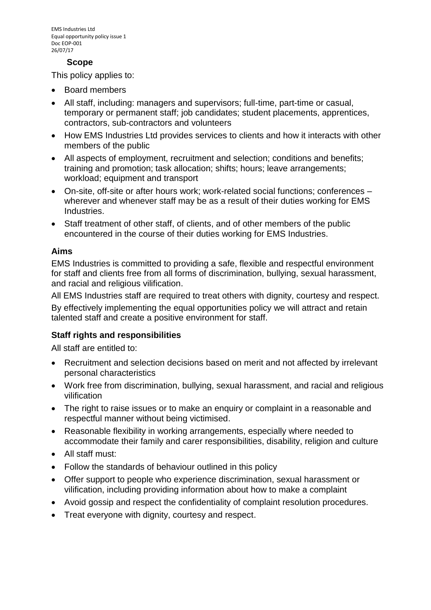#### **Scope**

This policy applies to:

- Board members
- All staff, including: managers and supervisors; full-time, part-time or casual, temporary or permanent staff; job candidates; student placements, apprentices, contractors, sub-contractors and volunteers
- How EMS Industries Ltd provides services to clients and how it interacts with other members of the public
- All aspects of employment, recruitment and selection; conditions and benefits; training and promotion; task allocation; shifts; hours; leave arrangements; workload; equipment and transport
- On-site, off-site or after hours work; work-related social functions; conferences wherever and whenever staff may be as a result of their duties working for EMS Industries.
- Staff treatment of other staff, of clients, and of other members of the public encountered in the course of their duties working for EMS Industries.

#### **Aims**

EMS Industries is committed to providing a safe, flexible and respectful environment for staff and clients free from all forms of discrimination, bullying, sexual harassment, and racial and religious vilification.

All EMS Industries staff are required to treat others with dignity, courtesy and respect.

By effectively implementing the equal opportunities policy we will attract and retain talented staff and create a positive environment for staff.

# **Staff rights and responsibilities**

All staff are entitled to:

- Recruitment and selection decisions based on merit and not affected by irrelevant personal characteristics
- Work free from discrimination, bullying, sexual harassment, and racial and religious vilification
- The right to raise issues or to make an enquiry or complaint in a reasonable and respectful manner without being victimised.
- Reasonable flexibility in working arrangements, especially where needed to accommodate their family and carer responsibilities, disability, religion and culture
- All staff must:
- Follow the standards of behaviour outlined in this policy
- Offer support to people who experience discrimination, sexual harassment or vilification, including providing information about how to make a complaint
- Avoid gossip and respect the confidentiality of complaint resolution procedures.
- Treat everyone with dignity, courtesy and respect.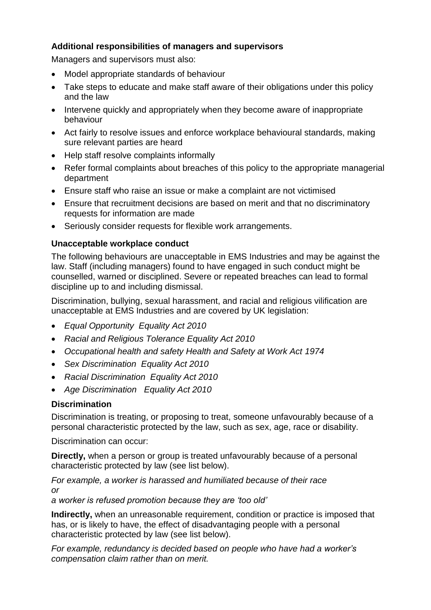# **Additional responsibilities of managers and supervisors**

Managers and supervisors must also:

- Model appropriate standards of behaviour
- Take steps to educate and make staff aware of their obligations under this policy and the law
- Intervene quickly and appropriately when they become aware of inappropriate behaviour
- Act fairly to resolve issues and enforce workplace behavioural standards, making sure relevant parties are heard
- Help staff resolve complaints informally
- Refer formal complaints about breaches of this policy to the appropriate managerial department
- Ensure staff who raise an issue or make a complaint are not victimised
- Ensure that recruitment decisions are based on merit and that no discriminatory requests for information are made
- Seriously consider requests for flexible work arrangements.

# **Unacceptable workplace conduct**

The following behaviours are unacceptable in EMS Industries and may be against the law. Staff (including managers) found to have engaged in such conduct might be counselled, warned or disciplined. Severe or repeated breaches can lead to formal discipline up to and including dismissal.

Discrimination, bullying, sexual harassment, and racial and religious vilification are unacceptable at EMS Industries and are covered by UK legislation:

- *Equal Opportunity Equality Act 2010*
- *Racial and Religious Tolerance Equality Act 2010*
- *Occupational health and safety Health and Safety at Work Act 1974*
- *Sex Discrimination Equality Act 2010*
- *Racial Discrimination Equality Act 2010*
- *Age Discrimination Equality Act 2010*

# **Discrimination**

Discrimination is treating, or proposing to treat, someone unfavourably because of a personal characteristic protected by the law, such as sex, age, race or disability.

Discrimination can occur:

**Directly,** when a person or group is treated unfavourably because of a personal characteristic protected by law (see list below).

#### *For example, a worker is harassed and humiliated because of their race or*

*a worker is refused promotion because they are 'too old'*

**Indirectly,** when an unreasonable requirement, condition or practice is imposed that has, or is likely to have, the effect of disadvantaging people with a personal characteristic protected by law (see list below).

*For example, redundancy is decided based on people who have had a worker's compensation claim rather than on merit.*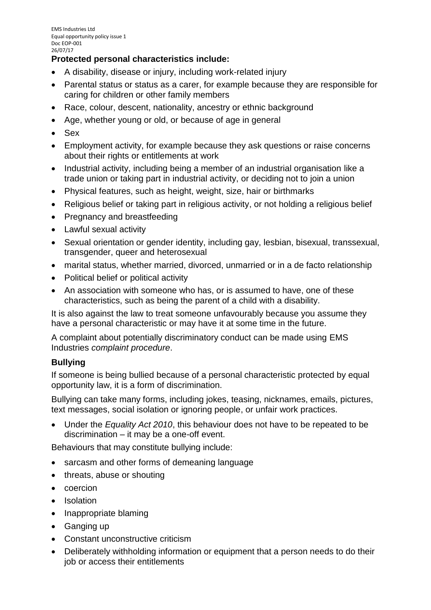# **Protected personal characteristics include:**

- A disability, disease or injury, including work-related injury
- Parental status or status as a carer, for example because they are responsible for caring for children or other family members
- Race, colour, descent, nationality, ancestry or ethnic background
- Age, whether young or old, or because of age in general
- Sex
- Employment activity, for example because they ask questions or raise concerns about their rights or entitlements at work
- Industrial activity, including being a member of an industrial organisation like a trade union or taking part in [industrial activity,](http://www.humanrightscommission.vic.gov.au/index.php?option=com_k2&view=item&layout=item&id=730&Itemid=546) or deciding not to join a union
- Physical features, such as height, weight, size, hair or birthmarks
- Religious belief or taking part in religious activity, or not holding a religious belief
- Pregnancy and breastfeeding
- Lawful sexual activity
- Sexual orientation or gender identity, including gay, lesbian, bisexual, transsexual, transgender, queer and heterosexual
- marital status, whether married, divorced, unmarried or in a de facto relationship
- Political belief or [political activity](http://www.humanrightscommission.vic.gov.au/index.php?option=com_k2&view=item&layout=item&id=721&Itemid=680)
- An association with someone who has, or is assumed to have, one of these characteristics, such as being the parent of a child with a disability.

It is also against the law to treat someone unfavourably because you assume they have a personal characteristic or may have it at some time in the future.

A complaint about potentially discriminatory conduct can be made using EMS Industries *complaint procedure*.

# **Bullying**

If someone is being bullied because of a personal characteristic protected by equal opportunity law, it is a form of discrimination.

Bullying can take many forms, including jokes, teasing, nicknames, emails, pictures, text messages, social isolation or ignoring people, or unfair work practices.

• Under the *Equality Act 2010*, this behaviour does not have to be repeated to be discrimination – it may be a one-off event.

Behaviours that may constitute bullying include:

- sarcasm and other forms of demeaning language
- threats, abuse or shouting
- coercion
- Isolation
- Inappropriate blaming
- Ganging up
- Constant unconstructive criticism
- Deliberately withholding information or equipment that a person needs to do their job or access their entitlements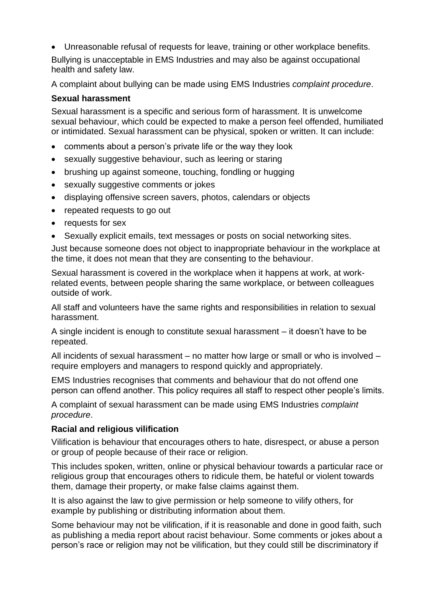• Unreasonable refusal of requests for leave, training or other workplace benefits.

Bullying is unacceptable in EMS Industries and may also be against occupational health and safety law.

A complaint about bullying can be made using EMS Industries *complaint procedure*.

#### **Sexual harassment**

Sexual harassment is a specific and serious form of harassment. It is unwelcome sexual behaviour, which could be expected to make a person feel offended, humiliated or intimidated. Sexual harassment can be physical, spoken or written. It can include:

- comments about a person's private life or the way they look
- sexually suggestive behaviour, such as leering or staring
- brushing up against someone, touching, fondling or hugging
- sexually suggestive comments or jokes
- displaying offensive screen savers, photos, calendars or objects
- repeated requests to go out
- requests for sex
- Sexually explicit emails, text messages or posts on social networking sites.

Just because someone does not object to inappropriate behaviour in the workplace at the time, it does not mean that they are consenting to the behaviour.

Sexual harassment is covered in the workplace when it happens at work, at workrelated events, between people sharing the same workplace, or between colleagues outside of work.

All staff and volunteers have the same rights and responsibilities in relation to sexual harassment.

A single incident is enough to constitute sexual harassment – it doesn't have to be repeated.

All incidents of sexual harassment – no matter how large or small or who is involved – require employers and managers to respond quickly and appropriately.

EMS Industries recognises that comments and behaviour that do not offend one person can offend another. This policy requires all staff to respect other people's limits.

A complaint of sexual harassment can be made using EMS Industries *complaint procedure*.

#### **Racial and religious vilification**

Vilification is behaviour that encourages others to hate, disrespect, or abuse a person or group of people because of their race or religion.

This includes spoken, written, online or physical behaviour towards a particular race or religious group that encourages others to ridicule them, be hateful or violent towards them, damage their property, or make false claims against them.

It is also against the law to give permission or help someone to vilify others, for example by publishing or distributing information about them.

Some behaviour may not be vilification, if it is reasonable and done in good faith, such as publishing a media report about racist behaviour. Some comments or jokes about a person's race or religion may not be vilification, but they could still be discriminatory if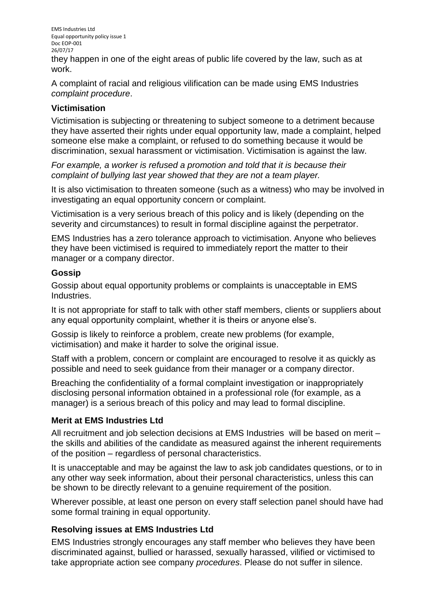EMS Industries Ltd Equal opportunity policy issue 1 Doc EOP-001 26/07/17

they happen in one of the eight areas of public life covered by the law, such as at work.

A complaint of racial and religious vilification can be made using EMS Industries *complaint procedure*.

#### **Victimisation**

Victimisation is subjecting or threatening to subject someone to a detriment because they have asserted their rights under equal opportunity law, made a complaint, helped someone else make a complaint, or refused to do something because it would be discrimination, sexual harassment or victimisation. Victimisation is against the law.

*For example, a worker is refused a promotion and told that it is because their complaint of bullying last year showed that they are not a team player.*

It is also victimisation to threaten someone (such as a witness) who may be involved in investigating an equal opportunity concern or complaint.

Victimisation is a very serious breach of this policy and is likely (depending on the severity and circumstances) to result in formal discipline against the perpetrator.

EMS Industries has a zero tolerance approach to victimisation. Anyone who believes they have been victimised is required to immediately report the matter to their manager or a company director.

#### **Gossip**

Gossip about equal opportunity problems or complaints is unacceptable in EMS Industries.

It is not appropriate for staff to talk with other staff members, clients or suppliers about any equal opportunity complaint, whether it is theirs or anyone else's.

Gossip is likely to reinforce a problem, create new problems (for example, victimisation) and make it harder to solve the original issue.

Staff with a problem, concern or complaint are encouraged to resolve it as quickly as possible and need to seek guidance from their manager or a company director.

Breaching the confidentiality of a formal complaint investigation or inappropriately disclosing personal information obtained in a professional role (for example, as a manager) is a serious breach of this policy and may lead to formal discipline.

# **Merit at EMS Industries Ltd**

All recruitment and job selection decisions at EMS Industries will be based on merit – the skills and abilities of the candidate as measured against the inherent requirements of the position – regardless of personal characteristics.

It is unacceptable and may be against the law to ask job candidates questions, or to in any other way seek information, about their personal characteristics, unless this can be shown to be directly relevant to a genuine requirement of the position.

Wherever possible, at least one person on every staff selection panel should have had some formal training in equal opportunity.

# **Resolving issues at EMS Industries Ltd**

EMS Industries strongly encourages any staff member who believes they have been discriminated against, bullied or harassed, sexually harassed, vilified or victimised to take appropriate action see company *procedures*. Please do not suffer in silence.